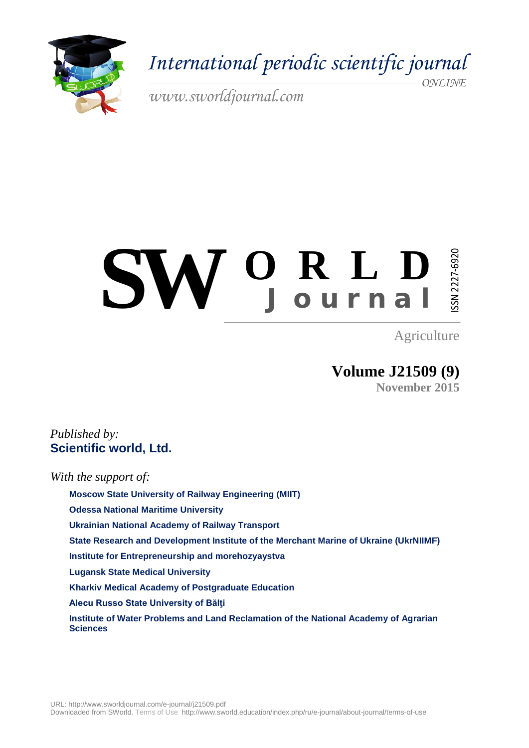

# $S W$ <sup>O</sup> R L D ISSN 2227-6920 SSN 2227-6920

Agriculture

**Volume J21509 (9) November 2015** 

*Published by:*  **Scientific world, Ltd.**

*With the support of:*

**Moscow State University of Railway Engineering (MIIT)**

**Odessa National Maritime University** 

**Ukrainian National Academy of Railway Transport**

**State Research and Development Institute of the Merchant Marine of Ukraine (UkrNIIMF)**

**Institute for Entrepreneurship and morehozyaystva**

**Lugansk State Medical University**

**Kharkiv Medical Academy of Postgraduate Education**

**Alecu Russo State University of Bălţi**

**Institute of Water Problems and Land Reclamation of the National Academy of Agrarian Sciences**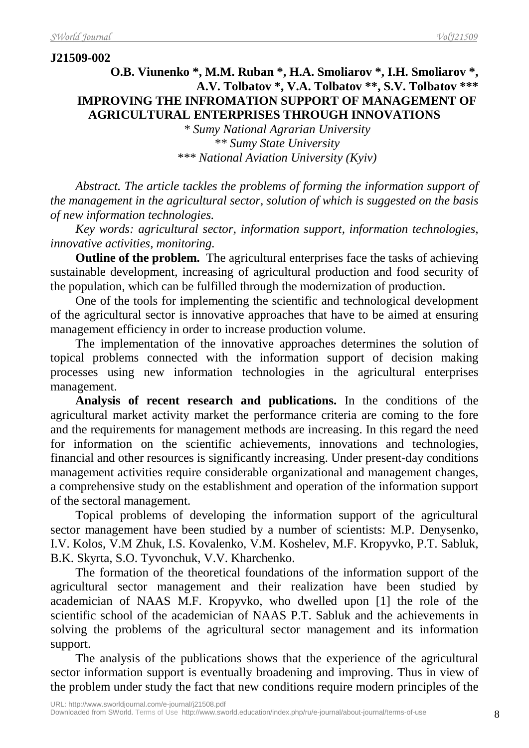### **J21509-002 O.B. Viunenko \*, M.M. Ruban \*, H.A. Smoliarov \*, I.H. Smoliarov \*, A.V. Tolbatov \*, V.A. Tolbatov \*\*, S.V. Tolbatov \*\*\* IMPROVING THE INFROMATION SUPPORT OF MANAGEMENT OF AGRICULTURAL ENTERPRISES THROUGH INNOVATIONS**

*\* Sumy National Agrarian University \*\* Sumy State University \*\*\* National Aviation University (Kyiv)*

*Abstract. The article tackles the problems of forming the information support of the management in the agricultural sector, solution of which is suggested on the basis of new information technologies.*

*Key words: agricultural sector, information support, information technologies, innovative activities, monitoring.*

**Outline of the problem.** The agricultural enterprises face the tasks of achieving sustainable development, increasing of agricultural production and food security of the population, which can be fulfilled through the modernization of production.

One of the tools for implementing the scientific and technological development of the agricultural sector is innovative approaches that have to be aimed at ensuring management efficiency in order to increase production volume.

The implementation of the innovative approaches determines the solution of topical problems connected with the information support of decision making processes using new information technologies in the agricultural enterprises management.

**Analysis of recent research and publications.** In the conditions of the agricultural market activity market the performance criteria are coming to the fore and the requirements for management methods are increasing. In this regard the need for information on the scientific achievements, innovations and technologies, financial and other resources is significantly increasing. Under present-day conditions management activities require considerable organizational and management changes, a comprehensive study on the establishment and operation of the information support of the sectoral management.

Topical problems of developing the information support of the agricultural sector management have been studied by a number of scientists: M.P. Denysenko, I.V. Kolos, V.M Zhuk, I.S. Kovalenko, V.M. Koshelev, M.F. Kropyvko, P.T. Sabluk, B.K. Skyrta, S.O. Tyvonchuk, V.V. Kharchenko.

The formation of the theoretical foundations of the information support of the agricultural sector management and their realization have been studied by academician of NAAS M.F. Kropyvko, who dwelled upon [1] the role of the scientific school of the academician of NAAS P.T. Sabluk and the achievements in solving the problems of the agricultural sector management and its information support.

The analysis of the publications shows that the experience of the agricultural sector information support is eventually broadening and improving. Thus in view of the problem under study the fact that new conditions require modern principles of the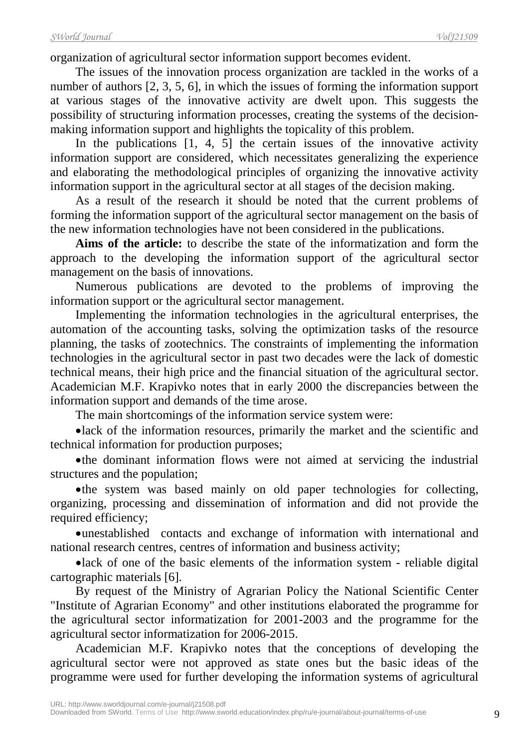organization of agricultural sector information support becomes evident.

The issues of the innovation process organization are tackled in the works of a number of authors [2, 3, 5, 6], in which the issues of forming the information support at various stages of the innovative activity are dwelt upon. This suggests the possibility of structuring information processes, creating the systems of the decisionmaking information support and highlights the topicality of this problem.

In the publications [1, 4, 5] the certain issues of the innovative activity information support are considered, which necessitates generalizing the experience and elaborating the methodological principles of organizing the innovative activity information support in the agricultural sector at all stages of the decision making.

As a result of the research it should be noted that the current problems of forming the information support of the agricultural sector management on the basis of the new information technologies have not been considered in the publications.

**Aims of the article:** to describe the state of the informatization and form the approach to the developing the information support of the agricultural sector management on the basis of innovations.

Numerous publications are devoted to the problems of improving the information support or the agricultural sector management.

Implementing the information technologies in the agricultural enterprises, the automation of the accounting tasks, solving the optimization tasks of the resource planning, the tasks of zootechnics. The constraints of implementing the information technologies in the agricultural sector in past two decades were the lack of domestic technical means, their high price and the financial situation of the agricultural sector. Academician M.F. Krapivko notes that in early 2000 the discrepancies between the information support and demands of the time arose.

The main shortcomings of the information service system were:

•lack of the information resources, primarily the market and the scientific and technical information for production purposes;

•the dominant information flows were not aimed at servicing the industrial structures and the population;

•the system was based mainly on old paper technologies for collecting, organizing, processing and dissemination of information and did not provide the required efficiency;

•unestablished contacts and exchange of information with international and national research centres, centres of information and business activity;

•lack of one of the basic elements of the information system - reliable digital cartographic materials [6].

By request of the Ministry of Agrarian Policy the National Scientific Center "Institute of Agrarian Economy" and other institutions elaborated the programme for the agricultural sector informatization for 2001-2003 and the programme for the agricultural sector informatization for 2006-2015.

Academician M.F. Krapivko notes that the conceptions of developing the agricultural sector were not approved as state ones but the basic ideas of the programme were used for further developing the information systems of agricultural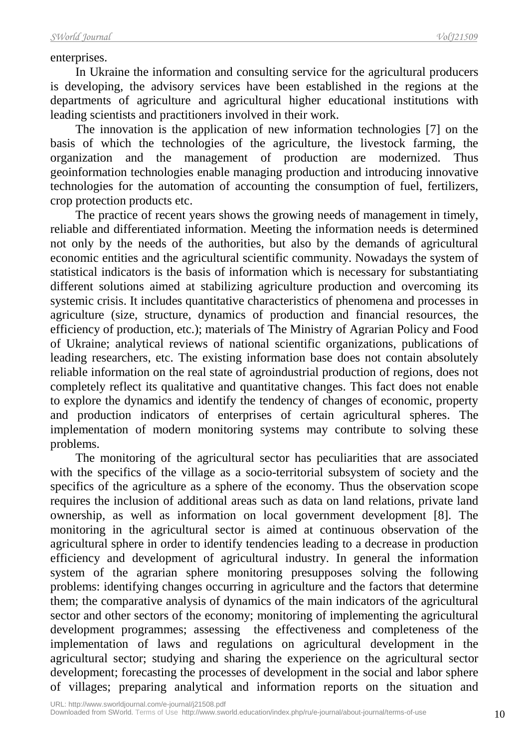#### enterprises.

In Ukraine the information and consulting service for the agricultural producers is developing, the advisory services have been established in the regions at the departments of agriculture and agricultural higher educational institutions with leading scientists and practitioners involved in their work.

The innovation is the application of new information technologies [7] on the basis of which the technologies of the agriculture, the livestock farming, the organization and the management of production are modernized. Thus geoinformation technologies enable managing production and introducing innovative technologies for the automation of accounting the consumption of fuel, fertilizers, crop protection products etc.

The practice of recent years shows the growing needs of management in timely, reliable and differentiated information. Meeting the information needs is determined not only by the needs of the authorities, but also by the demands of agricultural economic entities and the agricultural scientific community. Nowadays the system of statistical indicators is the basis of information which is necessary for substantiating different solutions aimed at stabilizing agriculture production and overcoming its systemic crisis. It includes quantitative characteristics of phenomena and processes in agriculture (size, structure, dynamics of production and financial resources, the efficiency of production, etc.); materials of The Ministry of Agrarian Policy and Food of Ukraine; analytical reviews of national scientific organizations, publications of leading researchers, etc. The existing information base does not contain absolutely reliable information on the real state of agroindustrial production of regions, does not completely reflect its qualitative and quantitative changes. This fact does not enable to explore the dynamics and identify the tendency of changes of economic, property and production indicators of enterprises of certain agricultural spheres. The implementation of modern monitoring systems may contribute to solving these problems.

The monitoring of the agricultural sector has peculiarities that are associated with the specifics of the village as a socio-territorial subsystem of society and the specifics of the agriculture as a sphere of the economy. Thus the observation scope requires the inclusion of additional areas such as data on land relations, private land ownership, as well as information on local government development [8]. The monitoring in the agricultural sector is aimed at continuous observation of the agricultural sphere in order to identify tendencies leading to a decrease in production efficiency and development of agricultural industry. In general the information system of the agrarian sphere monitoring presupposes solving the following problems: identifying changes occurring in agriculture and the factors that determine them; the comparative analysis of dynamics of the main indicators of the agricultural sector and other sectors of the economy; monitoring of implementing the agricultural development programmes; assessing the effectiveness and completeness of the implementation of laws and regulations on agricultural development in the agricultural sector; studying and sharing the experience on the agricultural sector development; forecasting the processes of development in the social and labor sphere of villages; preparing analytical and information reports on the situation and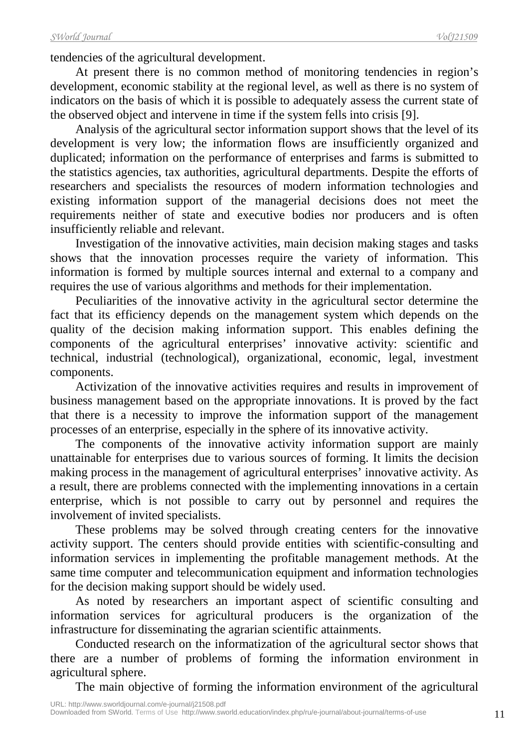tendencies of the agricultural development.

At present there is no common method of monitoring tendencies in region's development, economic stability at the regional level, as well as there is no system of indicators on the basis of which it is possible to adequately assess the current state of the observed object and intervene in time if the system fells into crisis [9].

Analysis of the agricultural sector information support shows that the level of its development is very low; the information flows are insufficiently organized and duplicated; information on the performance of enterprises and farms is submitted to the statistics agencies, tax authorities, agricultural departments. Despite the efforts of researchers and specialists the resources of modern information technologies and existing information support of the managerial decisions does not meet the requirements neither of state and executive bodies nor producers and is often insufficiently reliable and relevant.

Investigation of the innovative activities, main decision making stages and tasks shows that the innovation processes require the variety of information. This information is formed by multiple sources internal and external to a company and requires the use of various algorithms and methods for their implementation.

Peculiarities of the innovative activity in the agricultural sector determine the fact that its efficiency depends on the management system which depends on the quality of the decision making information support. This enables defining the components of the agricultural enterprises' innovative activity: scientific and technical, industrial (technological), organizational, economic, legal, investment components.

Activization of the innovative activities requires and results in improvement of business management based on the appropriate innovations. It is proved by the fact that there is a necessity to improve the information support of the management processes of an enterprise, especially in the sphere of its innovative activity.

The components of the innovative activity information support are mainly unattainable for enterprises due to various sources of forming. It limits the decision making process in the management of agricultural enterprises' innovative activity. As a result, there are problems connected with the implementing innovations in a certain enterprise, which is not possible to carry out by personnel and requires the involvement of invited specialists.

These problems may be solved through creating centers for the innovative activity support. The centers should provide entities with scientific-consulting and information services in implementing the profitable management methods. At the same time computer and telecommunication equipment and information technologies for the decision making support should be widely used.

As noted by researchers an important aspect of scientific consulting and information services for agricultural producers is the organization of the infrastructure for disseminating the agrarian scientific attainments.

Conducted research on the informatization of the agricultural sector shows that there are a number of problems of forming the information environment in agricultural sphere.

The main objective of forming the information environment of the agricultural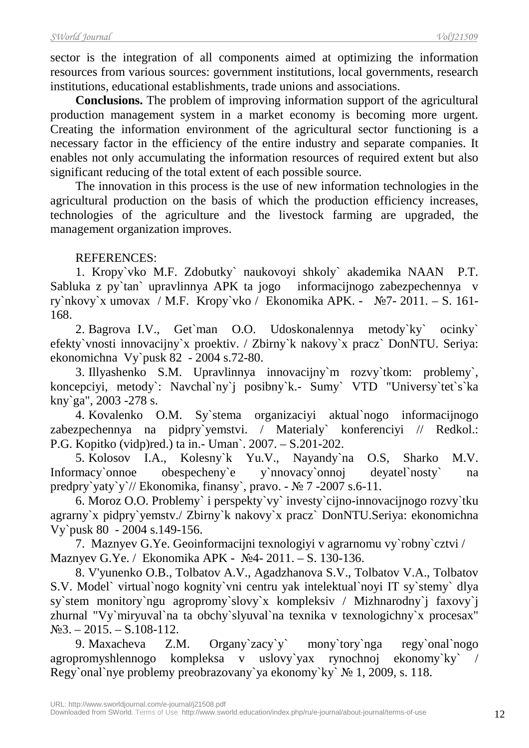sector is the integration of all components aimed at optimizing the information resources from various sources: government institutions, local governments, research institutions, educational establishments, trade unions and associations.

**Conclusions.** The problem of improving information support of the agricultural production management system in a market economy is becoming more urgent. Creating the information environment of the agricultural sector functioning is a necessary factor in the efficiency of the entire industry and separate companies. It enables not only accumulating the information resources of required extent but also significant reducing of the total extent of each possible source.

The innovation in this process is the use of new information technologies in the agricultural production on the basis of which the production efficiency increases, technologies of the agriculture and the livestock farming are upgraded, the management organization improves.

## REFERENCES:

1. Kropy`vko M.F. Zdobutky` naukovoyi shkoly` akademika NAAN P.T. Sabluka z py`tan` upravlinnya APK ta jogo informacijnogo zabezpechennya v ry`nkovy`x umovax / M.F. Kropy`vko / Ekonomika APK. - №7- 2011. – S. 161- 168.

2. Bagrova I.V., Get`man O.O. Udoskonalennya metody`ky` ocinky` efekty`vnosti innovacijny`x proektiv. / Zbirny`k nakovy`x pracz` DonNTU. Seriya: ekonomichna Vy`pusk 82 - 2004 s.72-80.

3. Illyashenko S.M. Upravlinnya innovacijny`m rozvy`tkom: problemy`, koncepciyi, metody`: Navchal`ny`j posibny`k.- Sumy` VTD "Universy`tet`s`ka kny`ga", 2003 -278 s.

4. Kovalenko O.M. Sy`stema organizaciyi aktual`nogo informacijnogo zabezpechennya na pidpry`yemstvi. / Materialy` konferenciyi // Redkol.: P.G. Kopitko (vidp)red.) ta in.- Uman`. 2007. – S.201-202.

5. Kolosov I.A., Kolesny`k Yu.V., Nayandy`na O.S, Sharko M.V. Informacy`onnoe obespecheny`e y`nnovacy`onnoj deyatel`nosty` na predpry`yaty`y`// Ekonomika, finansy`, pravo. - № 7 -2007 s.6-11.

6. Moroz O.O. Problemy` i perspekty`vy` investy`cijno-innovacijnogo rozvy`tku agrarny`x pidpry`yemstv./ Zbirny`k nakovy`x pracz` DonNTU.Seriya: ekonomichna Vy`pusk 80 - 2004 s.149-156.

7. Maznyev G.Ye. Geoinformacijni texnologiyi v agrarnomu vy`robny`cztvi / Maznyev G.Ye. / Ekonomika APK - №4- 2011. – S. 130-136.

8. V'yunenko O.B., Tolbatov A.V., Agadzhanova S.V., Tolbatov V.A., Tolbatov S.V. Model` virtual`nogo kognity`vni centru yak intelektual`noyi IT sy`stemy` dlya sy`stem monitory`ngu agropromy`slovy`x kompleksiv / Mizhnarodny`j faxovy`j zhurnal "Vy`miryuval`na ta obchy`slyuval`na texnika v texnologichny`x procesax"  $N<sub>2</sub>3. - 2015. - S.108-112.$ 

9. Maxacheva Z.M. Organy`zacy`y` mony`tory`nga regy`onal`nogo agropromyshlennogo kompleksa v uslovy`yax rynochnoj ekonomy`ky` / Regy`onal`nye problemy preobrazovany`ya ekonomy`ky` № 1, 2009, s. 118.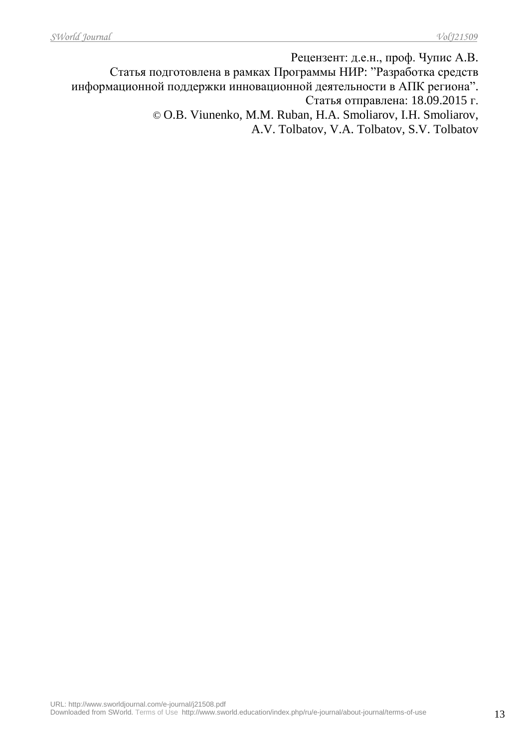Рецензент: д.е.н., проф. Чупис А.В.

- Статья подготовлена в рамках Программы НИР: "Разработка средств
- информационной поддержки инновационной деятельности в АПК региона".

© O.B. Viunenko, M.M. Ruban, H.A. Smoliarov, I.H. Smoliarov,

Статья отправлена: 18.09.2015 г.

A.V. Tolbatov, V.A. Tolbatov, S.V. Tolbatov